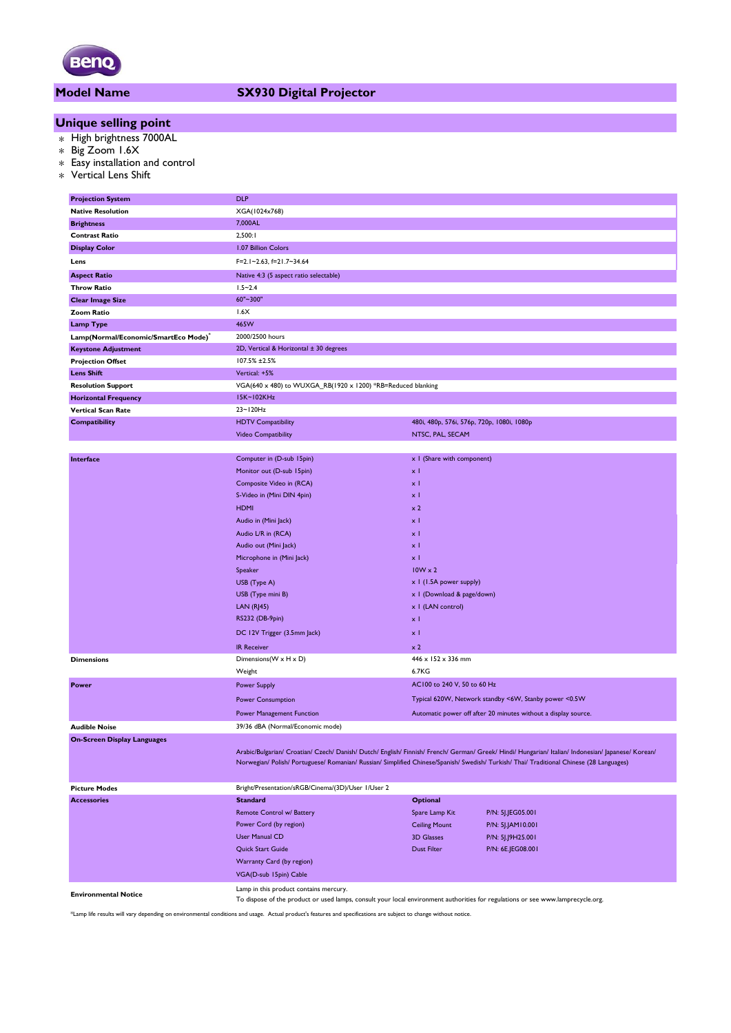

## **Model Name SX930 Digital Projector**

# **Unique selling point**

- \* High brightness 7000AL
- \* Big Zoom 1.6X
- \* Easy installation and control
- \* Vertical Lens Shift

| <b>Projection System</b>                         | <b>DLP</b>                                                                                                                                                                                                                                                                                      |                                            |                                                                |  |  |  |
|--------------------------------------------------|-------------------------------------------------------------------------------------------------------------------------------------------------------------------------------------------------------------------------------------------------------------------------------------------------|--------------------------------------------|----------------------------------------------------------------|--|--|--|
| <b>Native Resolution</b>                         | XGA(1024x768)                                                                                                                                                                                                                                                                                   |                                            |                                                                |  |  |  |
| <b>Brightness</b>                                | 7,000AL                                                                                                                                                                                                                                                                                         |                                            |                                                                |  |  |  |
| <b>Contrast Ratio</b>                            | 2,500:1                                                                                                                                                                                                                                                                                         |                                            |                                                                |  |  |  |
| <b>Display Color</b>                             | 1.07 Billion Colors                                                                                                                                                                                                                                                                             |                                            |                                                                |  |  |  |
| Lens                                             | F=2.1~2.63, f=21.7~34.64                                                                                                                                                                                                                                                                        |                                            |                                                                |  |  |  |
| <b>Aspect Ratio</b>                              | Native 4:3 (5 aspect ratio selectable)                                                                                                                                                                                                                                                          |                                            |                                                                |  |  |  |
| <b>Throw Ratio</b>                               | $1.5 - 2.4$                                                                                                                                                                                                                                                                                     |                                            |                                                                |  |  |  |
| <b>Clear Image Size</b>                          | 60"~300"                                                                                                                                                                                                                                                                                        |                                            |                                                                |  |  |  |
| Zoom Ratio                                       | 1.6X                                                                                                                                                                                                                                                                                            |                                            |                                                                |  |  |  |
| <b>Lamp Type</b>                                 | 465W                                                                                                                                                                                                                                                                                            |                                            |                                                                |  |  |  |
| Lamp(Normal/Economic/SmartEco Mode) <sup>®</sup> | 2000/2500 hours                                                                                                                                                                                                                                                                                 |                                            |                                                                |  |  |  |
| <b>Keystone Adjustment</b>                       | 2D, Vertical & Horizontal ± 30 degrees                                                                                                                                                                                                                                                          |                                            |                                                                |  |  |  |
| <b>Projection Offset</b>                         | 107.5% ±2.5%                                                                                                                                                                                                                                                                                    |                                            |                                                                |  |  |  |
| <b>Lens Shift</b>                                | Vertical: +5%                                                                                                                                                                                                                                                                                   |                                            |                                                                |  |  |  |
| <b>Resolution Support</b>                        | VGA(640 x 480) to WUXGA_RB(1920 x 1200) *RB=Reduced blanking                                                                                                                                                                                                                                    |                                            |                                                                |  |  |  |
| <b>Horizontal Frequency</b>                      | I5K~102KHz                                                                                                                                                                                                                                                                                      |                                            |                                                                |  |  |  |
| <b>Vertical Scan Rate</b>                        | 23~120Hz                                                                                                                                                                                                                                                                                        |                                            |                                                                |  |  |  |
| <b>Compatibility</b>                             | <b>HDTV Compatibility</b>                                                                                                                                                                                                                                                                       | 480i, 480p, 576i, 576p, 720p, 1080i, 1080p |                                                                |  |  |  |
|                                                  | Video Compatibility                                                                                                                                                                                                                                                                             | NTSC, PAL, SECAM                           |                                                                |  |  |  |
|                                                  |                                                                                                                                                                                                                                                                                                 |                                            |                                                                |  |  |  |
| Interface                                        | Computer in (D-sub 15pin)                                                                                                                                                                                                                                                                       | x I (Share with component)                 |                                                                |  |  |  |
|                                                  | Monitor out (D-sub 15pin)                                                                                                                                                                                                                                                                       | x <sub>1</sub>                             |                                                                |  |  |  |
|                                                  | Composite Video in (RCA)                                                                                                                                                                                                                                                                        | $\times$ 1                                 |                                                                |  |  |  |
|                                                  | S-Video in (Mini DIN 4pin)                                                                                                                                                                                                                                                                      | $\times$ 1                                 |                                                                |  |  |  |
|                                                  | <b>HDMI</b>                                                                                                                                                                                                                                                                                     | $\times 2$                                 |                                                                |  |  |  |
|                                                  | Audio in (Mini Jack)                                                                                                                                                                                                                                                                            | $\times$ 1                                 |                                                                |  |  |  |
|                                                  | Audio L/R in (RCA)                                                                                                                                                                                                                                                                              | $\times$ 1                                 |                                                                |  |  |  |
|                                                  | Audio out (Mini Jack)                                                                                                                                                                                                                                                                           | $\times$ 1                                 |                                                                |  |  |  |
|                                                  | Microphone in (Mini Jack)                                                                                                                                                                                                                                                                       | хI                                         |                                                                |  |  |  |
|                                                  | Speaker                                                                                                                                                                                                                                                                                         | $10W \times 2$                             |                                                                |  |  |  |
|                                                  | USB (Type A)                                                                                                                                                                                                                                                                                    | x 1 (1.5A power supply)                    |                                                                |  |  |  |
|                                                  | USB (Type mini B)                                                                                                                                                                                                                                                                               | x   (Download & page/down)                 |                                                                |  |  |  |
|                                                  | LAN $(R$ <sup>145</sup> )                                                                                                                                                                                                                                                                       | x I (LAN control)                          |                                                                |  |  |  |
|                                                  | RS232 (DB-9pin)                                                                                                                                                                                                                                                                                 | хI                                         |                                                                |  |  |  |
|                                                  | DC 12V Trigger (3.5mm Jack)                                                                                                                                                                                                                                                                     | хI                                         |                                                                |  |  |  |
|                                                  | <b>IR Receiver</b>                                                                                                                                                                                                                                                                              | $\times 2$                                 |                                                                |  |  |  |
| <b>Dimensions</b>                                | Dimensions (W x H x D)                                                                                                                                                                                                                                                                          | 446 x 152 x 336 mm                         |                                                                |  |  |  |
|                                                  | Weight                                                                                                                                                                                                                                                                                          | 6.7KG                                      |                                                                |  |  |  |
| Power                                            | <b>Power Supply</b>                                                                                                                                                                                                                                                                             | AC100 to 240 V, 50 to 60 Hz                |                                                                |  |  |  |
|                                                  |                                                                                                                                                                                                                                                                                                 |                                            | Typical 620W, Network standby <6W, Stanby power <0.5W          |  |  |  |
|                                                  | <b>Power Consumption</b>                                                                                                                                                                                                                                                                        |                                            |                                                                |  |  |  |
|                                                  | Power Management Function                                                                                                                                                                                                                                                                       |                                            | Automatic power off after 20 minutes without a display source. |  |  |  |
| <b>Audible Noise</b>                             | 39/36 dBA (Normal/Economic mode)                                                                                                                                                                                                                                                                |                                            |                                                                |  |  |  |
| <b>On-Screen Display Languages</b>               | Arabic/Bulgarian/ Croatian/ Czech/ Danish/ Dutch/ English/ Finnish/ French/ German/ Greek/ Hindi/ Hungarian/ Italian/ Indonesian/ Japanese/ Korean/<br>Norwegian/ Polish/ Portuguese/ Romanian/ Russian/ Simplified Chinese/Spanish/ Swedish/ Turkish/ Thai/ Traditional Chinese (28 Languages) |                                            |                                                                |  |  |  |
| <b>Picture Modes</b>                             | Bright/Presentation/sRGB/Cinema/(3D)/User 1/User 2                                                                                                                                                                                                                                              |                                            |                                                                |  |  |  |
| <b>Accessories</b>                               | <b>Standard</b>                                                                                                                                                                                                                                                                                 | <b>Optional</b>                            |                                                                |  |  |  |
|                                                  | Remote Control w/ Battery                                                                                                                                                                                                                                                                       | Spare Lamp Kit                             | P/N: 5J.JEG05.001                                              |  |  |  |
|                                                  | Power Cord (by region)                                                                                                                                                                                                                                                                          | <b>Ceiling Mount</b>                       | P/N: 5J.JAM10.001                                              |  |  |  |
|                                                  | <b>User Manual CD</b>                                                                                                                                                                                                                                                                           | <b>3D Glasses</b>                          | P/N: 5J.J9H25.001                                              |  |  |  |
|                                                  | Quick Start Guide                                                                                                                                                                                                                                                                               | <b>Dust Filter</b>                         | P/N: 6E.JEG08.001                                              |  |  |  |
|                                                  | Warranty Card (by region)                                                                                                                                                                                                                                                                       |                                            |                                                                |  |  |  |
|                                                  |                                                                                                                                                                                                                                                                                                 |                                            |                                                                |  |  |  |
| VGA(D-sub 15pin) Cable                           |                                                                                                                                                                                                                                                                                                 |                                            |                                                                |  |  |  |
| <b>Environmental Notice</b>                      | Lamp in this product contains mercury.<br>To dispose of the product or used lamps, consult your local environment authorities for regulations or see www.lamprecycle.org.                                                                                                                       |                                            |                                                                |  |  |  |

\*Lamp life results will vary depending on environmental conditions and usage. Actual product's features and specifications are subject to change without notice.